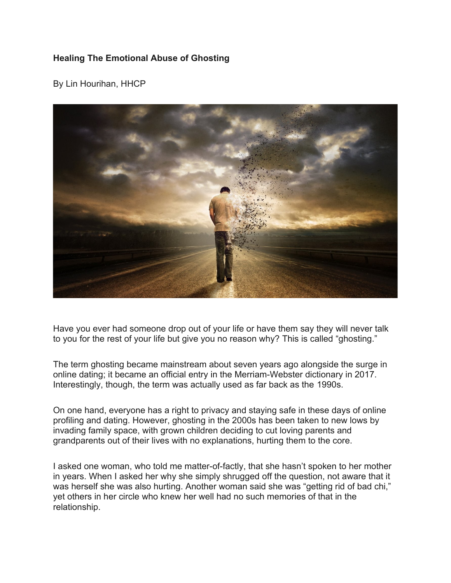# **Healing The Emotional Abuse of Ghosting**

By Lin Hourihan, HHCP



Have you ever had someone drop out of your life or have them say they will never talk to you for the rest of your life but give you no reason why? This is called "ghosting."

The term ghosting became mainstream about seven years ago alongside the surge in online dating; it became an official entry in the Merriam-Webster dictionary in 2017. Interestingly, though, the term was actually used as far back as the 1990s.

On one hand, everyone has a right to privacy and staying safe in these days of online profiling and dating. However, ghosting in the 2000s has been taken to new lows by invading family space, with grown children deciding to cut loving parents and grandparents out of their lives with no explanations, hurting them to the core.

I asked one woman, who told me matter-of-factly, that she hasn't spoken to her mother in years. When I asked her why she simply shrugged off the question, not aware that it was herself she was also hurting. Another woman said she was "getting rid of bad chi," yet others in her circle who knew her well had no such memories of that in the relationship.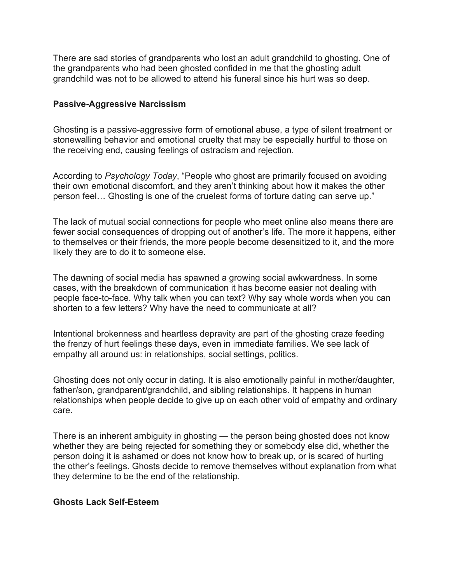There are sad stories of grandparents who lost an adult grandchild to ghosting. One of the grandparents who had been ghosted confided in me that the ghosting adult grandchild was not to be allowed to attend his funeral since his hurt was so deep.

### **Passive-Aggressive Narcissism**

Ghosting is a passive-aggressive form of emotional abuse, a type of silent treatment or stonewalling behavior and emotional cruelty that may be especially hurtful to those on the receiving end, causing feelings of ostracism and rejection.

According to *Psychology Today*, "People who ghost are primarily focused on avoiding their own emotional discomfort, and they aren't thinking about how it makes the other person feel… Ghosting is one of the cruelest forms of torture dating can serve up."

The lack of mutual social connections for people who meet online also means there are fewer social consequences of dropping out of another's life. The more it happens, either to themselves or their friends, the more people become desensitized to it, and the more likely they are to do it to someone else.

The dawning of social media has spawned a growing social awkwardness. In some cases, with the breakdown of communication it has become easier not dealing with people face-to-face. Why talk when you can text? Why say whole words when you can shorten to a few letters? Why have the need to communicate at all?

Intentional brokenness and heartless depravity are part of the ghosting craze feeding the frenzy of hurt feelings these days, even in immediate families. We see lack of empathy all around us: in relationships, social settings, politics.

Ghosting does not only occur in dating. It is also emotionally painful in mother/daughter, father/son, grandparent/grandchild, and sibling relationships. It happens in human relationships when people decide to give up on each other void of empathy and ordinary care.

There is an inherent ambiguity in ghosting — the person being ghosted does not know whether they are being rejected for something they or somebody else did, whether the person doing it is ashamed or does not know how to break up, or is scared of hurting the other's feelings. Ghosts decide to remove themselves without explanation from what they determine to be the end of the relationship.

#### **Ghosts Lack Self-Esteem**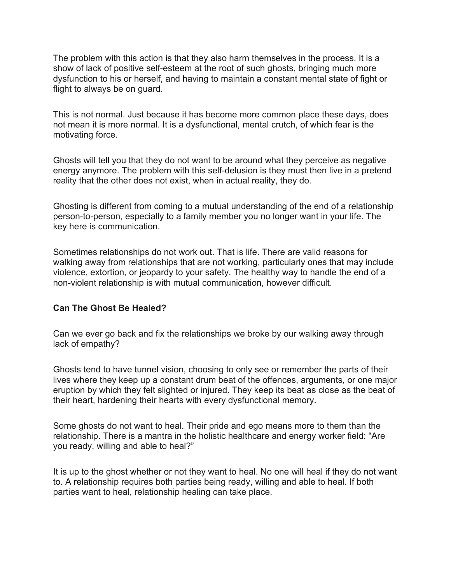The problem with this action is that they also harm themselves in the process. It is a show of lack of positive self-esteem at the root of such ghosts, bringing much more dysfunction to his or herself, and having to maintain a constant mental state of fight or flight to always be on guard.

This is not normal. Just because it has become more common place these days, does not mean it is more normal. It is a dysfunctional, mental crutch, of which fear is the motivating force.

Ghosts will tell you that they do not want to be around what they perceive as negative energy anymore. The problem with this self-delusion is they must then live in a pretend reality that the other does not exist, when in actual reality, they do.

Ghosting is different from coming to a mutual understanding of the end of a relationship person-to-person, especially to a family member you no longer want in your life. The key here is communication.

Sometimes relationships do not work out. That is life. There are valid reasons for walking away from relationships that are not working, particularly ones that may include violence, extortion, or jeopardy to your safety. The healthy way to handle the end of a non-violent relationship is with mutual communication, however difficult.

## **Can The Ghost Be Healed?**

Can we ever go back and fix the relationships we broke by our walking away through lack of empathy?

Ghosts tend to have tunnel vision, choosing to only see or remember the parts of their lives where they keep up a constant drum beat of the offences, arguments, or one major eruption by which they felt slighted or injured. They keep its beat as close as the beat of their heart, hardening their hearts with every dysfunctional memory.

Some ghosts do not want to heal. Their pride and ego means more to them than the relationship. There is a mantra in the holistic healthcare and energy worker field: "Are you ready, willing and able to heal?"

It is up to the ghost whether or not they want to heal. No one will heal if they do not want to. A relationship requires both parties being ready, willing and able to heal. If both parties want to heal, relationship healing can take place.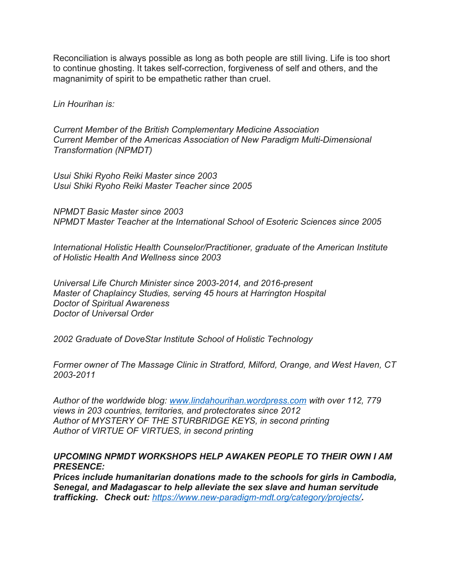Reconciliation is always possible as long as both people are still living. Life is too short to continue ghosting. It takes self-correction, forgiveness of self and others, and the magnanimity of spirit to be empathetic rather than cruel.

*Lin Hourihan is:*

*Current Member of the British Complementary Medicine Association Current Member of the Americas Association of New Paradigm Multi-Dimensional Transformation (NPMDT)*

*Usui Shiki Ryoho Reiki Master since 2003 Usui Shiki Ryoho Reiki Master Teacher since 2005*

*NPMDT Basic Master since 2003 NPMDT Master Teacher at the International School of Esoteric Sciences since 2005*

*International Holistic Health Counselor/Practitioner, graduate of the American Institute of Holistic Health And Wellness since 2003* 

*Universal Life Church Minister since 2003-2014, and 2016-present Master of Chaplaincy Studies, serving 45 hours at Harrington Hospital Doctor of Spiritual Awareness Doctor of Universal Order*

*2002 Graduate of DoveStar Institute School of Holistic Technology*

*Former owner of The Massage Clinic in Stratford, Milford, Orange, and West Haven, CT 2003-2011*

*Author of the worldwide blog: [www.lindahourihan.wordpress.com](http://www.lindahourihan.wordpress.com/) with over 112, 779 views in 203 countries, territories, and protectorates since 2012 Author of MYSTERY OF THE STURBRIDGE KEYS, in second printing Author of VIRTUE OF VIRTUES, in second printing*

## *UPCOMING NPMDT WORKSHOPS HELP AWAKEN PEOPLE TO THEIR OWN I AM PRESENCE:*

*Prices include humanitarian donations made to the schools for girls in Cambodia, Senegal, and Madagascar to help alleviate the sex slave and human servitude trafficking. Check out: <https://www.new-paradigm-mdt.org/category/projects/>.*